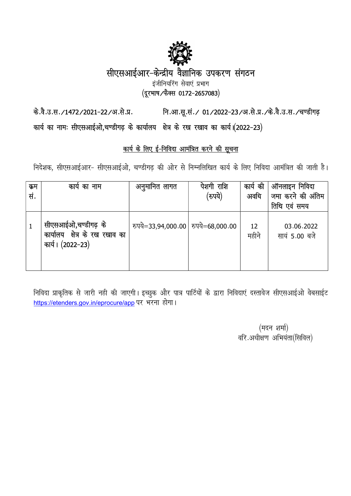

# सीएसआईआर-केन्द्रीय वैज्ञानिक उपकरण संगठन

इंजीनियरिंग सेवाएं प्रभाग

(दूरभाष/फैक्स 0172-2657083)

नि.आ.सू.सं./ 01/2022-23/अ.से.प्र./के.वै.उ.स./चण्डीगढ़ के.वै.उ.स./1472/2021-22/अ.से.प्र.

कार्य का नामः सीएसआईओ,चण्डीगढ़ के कार्यालय क्षेत्र के रख रखाव का कार्य।(2022-23)

# कार्य के लिए ई-निविदा आमंत्रित करने की सूचना

निदेशक, सीएसआईआर- सीएसआईओ, चण्डीगढ की ओर से निम्नलिखित कार्य के लिए निविदा आमंत्रित की जाती है।

| क्रम<br>सं. | कार्य का नाम                                                                 | अनुमानित लागत                        | पेशगी राशि<br>(रुपये) | कार्य की<br>अवधि | ऑनलाइन निविदा<br>जमा करने की अंतिम<br>तिथि एवं समय |
|-------------|------------------------------------------------------------------------------|--------------------------------------|-----------------------|------------------|----------------------------------------------------|
|             | सीएसआईओ,चण्डीगढ़ के<br>क्षेत्र के रख रखाव का<br>कार्यालय<br>कार्य। (2022–23) | रुपये=33,94,000.00   रुपये=68,000.00 |                       | 12<br>महीने      | 03.06.2022<br>सायं 5.00 बजे                        |

निविदा प्राकृतिक से जारी नही की जाएगी। इच्छुक और पात्र पार्टियों के द्वारा निविदाएं दस्तावेज सीएसआईओ वेबसाईट https://etenders.gov.in/eprocure/app पर भरना होगा।

> (मदन शर्मा) वरि.अधीक्षण अभियंता(सिविल)